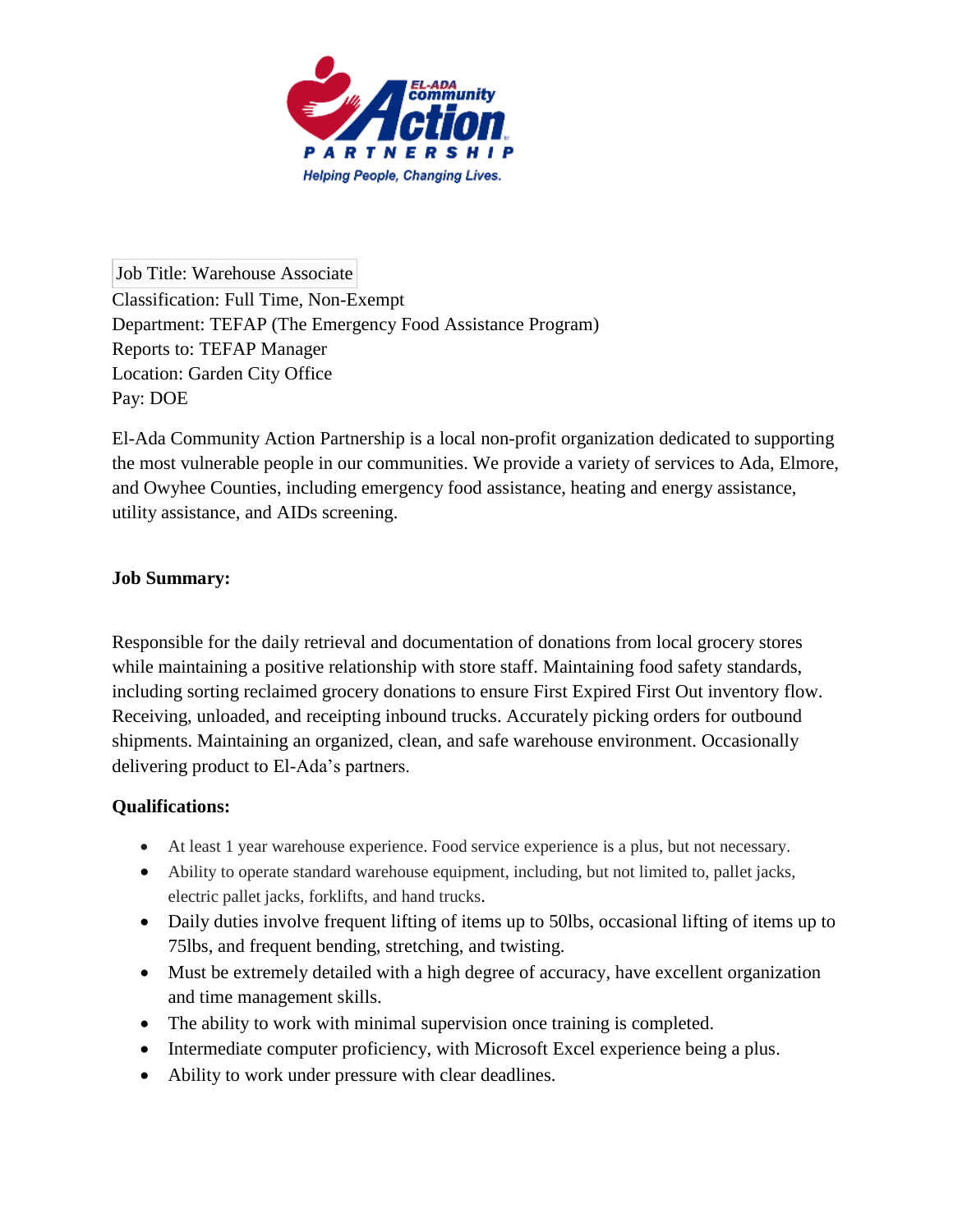

Job Title: Warehouse Associate Classification: Full Time, Non-Exempt Department: TEFAP (The Emergency Food Assistance Program) Reports to: TEFAP Manager Location: Garden City Office Pay: DOE

El-Ada Community Action Partnership is a local non-profit organization dedicated to supporting the most vulnerable people in our communities. We provide a variety of services to Ada, Elmore, and Owyhee Counties, including emergency food assistance, heating and energy assistance, utility assistance, and AIDs screening.

## **Job Summary:**

Responsible for the daily retrieval and documentation of donations from local grocery stores while maintaining a positive relationship with store staff. Maintaining food safety standards, including sorting reclaimed grocery donations to ensure First Expired First Out inventory flow. Receiving, unloaded, and receipting inbound trucks. Accurately picking orders for outbound shipments. Maintaining an organized, clean, and safe warehouse environment. Occasionally delivering product to El-Ada's partners.

## **Qualifications:**

- At least 1 year warehouse experience. Food service experience is a plus, but not necessary.
- Ability to operate standard warehouse equipment, including, but not limited to, pallet jacks, electric pallet jacks, forklifts, and hand trucks.
- Daily duties involve frequent lifting of items up to 50lbs, occasional lifting of items up to 75lbs, and frequent bending, stretching, and twisting.
- Must be extremely detailed with a high degree of accuracy, have excellent organization and time management skills.
- The ability to work with minimal supervision once training is completed.
- Intermediate computer proficiency, with Microsoft Excel experience being a plus.
- Ability to work under pressure with clear deadlines.